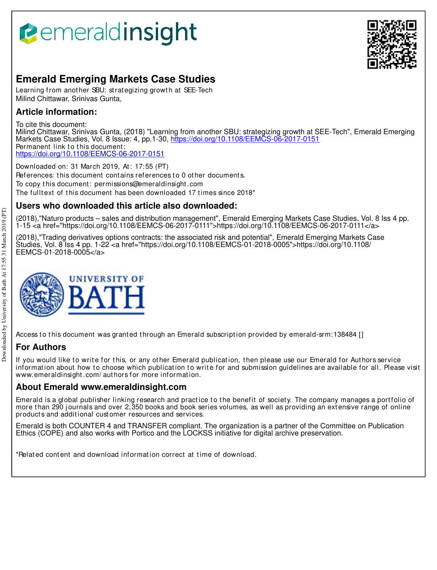# *<u><b>emeraldinsight</u>*



## **Emerald Emerging Markets Case Studies**

Learning from another SBU: strategizing growth at SEE-Tech Milind Chittawar, Srinivas Gunta,

## **Article information:**

To cite this document:

Milind Chittawar, Srinivas Gunta, (2018) "Learning from another SBU: strategizing growth at SEE-Tech", Emerald Emerging Markets Case Studies, Vol. 8 Issue: 4, pp.1-30, https://doi.org/10.1108/EEMCS-06-2017-0151 Permanent link to this document: https://doi.org/10.1108/EEMCS-06-2017-0151

Downloaded on: 31 March 2019, At : 17:55 (PT) References: this document contains references to 0 other documents. To copy t his document : permissions@emeraldinsight .com The fulltext of this document has been downloaded 17 times since 2018<sup>\*</sup>

## **Users who downloaded this article also downloaded:**

(2018),"Naturo products – sales and distribution management", Emerald Emerging Markets Case Studies, Vol. 8 Iss 4 pp. 1-15 <a href="https://doi.org/10.1108/EEMCS-06-2017-0111">https://doi.org/10.1108/EEMCS-06-2017-0111</a>

(2018),"Trading derivatives options contracts: the associated risk and potential", Emerald Emerging Markets Case Studies, Vol. 8 Iss 4 pp. 1-22 <a href="https://doi.org/10.1108/EEMCS-01-2018-0005">https://doi.org/10.1108/ EEMCS-01-2018-0005</a>



Access to this document was granted through an Emerald subscription provided by emerald-srm: 138484 []

## **For Authors**

If you would like to write for this, or any other Emerald publication, then please use our Emerald for Authors service information about how to choose which publication to write for and submission guidelines are available for all. Please visit www.emeraldinsight .com/ aut hors for more informat ion.

### **About Emerald www.emeraldinsight.com**

Emerald is a global publisher linking research and practice to the benefit of society. The company manages a portfolio of more than 290 journals and over 2,350 books and book series volumes, as well as providing an extensive range of online product s and addit ional cust omer resources and services.

Emerald is both COUNTER 4 and TRANSFER compliant. The organization is a partner of the Committee on Publication Ethics (COPE) and also works with Portico and the LOCKSS initiative for digital archive preservation.

\*Relat ed cont ent and download informat ion correct at t ime of download.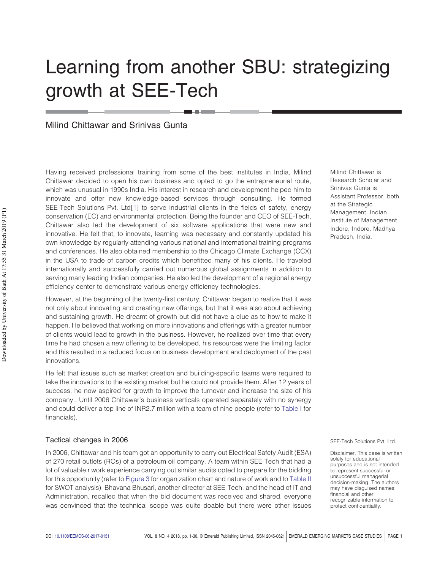## Learning from another SBU: strategizing growth at SEE-Tech

#### Milind Chittawar and Srinivas Gunta

Having received professional training from some of the best institutes in India, Milind Chittawar decided to open his own business and opted to go the entrepreneurial route, which was unusual in 1990s India. His interest in research and development helped him to innovate and offer new knowledge-based services through consulting. He formed SEE-Tech Solutions Pvt. Ltd[1] to serve industrial clients in the fields of safety, energy conservation (EC) and environmental protection. Being the founder and CEO of SEE-Tech, Chittawar also led the development of six software applications that were new and innovative. He felt that, to innovate, learning was necessary and constantly updated his own knowledge by regularly attending various national and international training programs and conferences. He also obtained membership to the Chicago Climate Exchange (CCX) in the USA to trade of carbon credits which benefitted many of his clients. He traveled internationally and successfully carried out numerous global assignments in addition to serving many leading Indian companies. He also led the development of a regional energy efficiency center to demonstrate various energy efficiency technologies.

However, at the beginning of the twenty-first century, Chittawar began to realize that it was not only about innovating and creating new offerings, but that it was also about achieving and sustaining growth. He dreamt of growth but did not have a clue as to how to make it happen. He believed that working on more innovations and offerings with a greater number of clients would lead to growth in the business. However, he realized over time that every time he had chosen a new offering to be developed, his resources were the limiting factor and this resulted in a reduced focus on business development and deployment of the past innovations.

He felt that issues such as market creation and building-specific teams were required to take the innovations to the existing market but he could not provide them. After 12 years of success, he now aspired for growth to improve the turnover and increase the size of his company.. Until 2006 Chittawar's business verticals operated separately with no synergy and could deliver a top line of INR2.7 million with a team of nine people (refer to Table I for financials).

#### Tactical changes in 2006

In 2006, Chittawar and his team got an opportunity to carry out Electrical Safety Audit (ESA) of 270 retail outlets (ROs) of a petroleum oil company. A team within SEE-Tech that had a lot of valuable r work experience carrying out similar audits opted to prepare for the bidding for this opportunity (refer to Figure 3 for organization chart and nature of work and to Table II for SWOT analysis). Bhavana Bhusari, another director at SEE-Tech, and the head of IT and Administration, recalled that when the bid document was received and shared, everyone was convinced that the technical scope was quite doable but there were other issues Milind Chittawar is Research Scholar and Srinivas Gunta is Assistant Professor, both at the Strategic Management, Indian Institute of Management Indore, Indore, Madhya Pradesh, India.

SEE-Tech Solutions Pvt. Ltd.

Disclaimer. This case is written solely for educational purposes and is not intended to represent successful or unsuccessful managerial decision-making. The authors may have disguised names; financial and other recognizable information to protect confidentiality.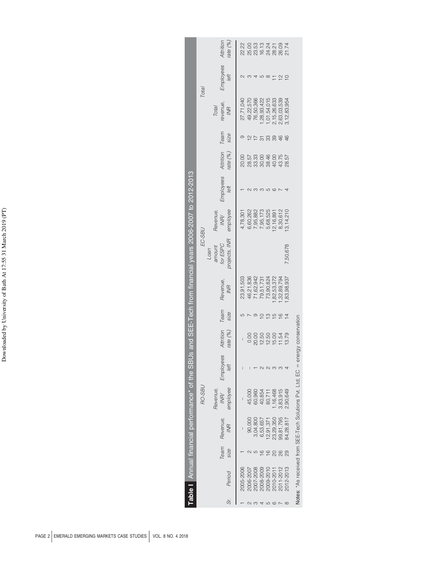|              |            |                                                          | <b>RO-SBL</b> |                |                     |         |            | EC-SBU        |             |                  |                                                |           |             | Total                   |           |
|--------------|------------|----------------------------------------------------------|---------------|----------------|---------------------|---------|------------|---------------|-------------|------------------|------------------------------------------------|-----------|-------------|-------------------------|-----------|
|              |            |                                                          |               |                |                     |         |            | Loan          |             |                  |                                                |           |             |                         |           |
|              |            |                                                          | Revenue,      |                |                     |         |            | amount        | Revenue,    |                  |                                                |           | Total       |                         |           |
|              | Team       | Revenue,                                                 | INR/          | oyees<br>Emplo | Attrition           | Team    | Revenue,   | for ESPC      | INR/        | <b>Employees</b> | Attrition                                      | Team      | revenue,    | Employees               | Attrition |
| Period       | size       | INR                                                      | employee      | left           | rate (%)            | size    | <b>INR</b> | projects, INR | employee    | left             | rate (%)                                       | size      | <b>IWR</b>  | left                    | ate (%)   |
| 2005-2006    |            |                                                          |               |                |                     |         | 23,91,503  |               | 4,78,301    |                  | 20.00                                          |           | 27,71,040   |                         | 22.22     |
| 006-2007     |            |                                                          | 45,00C        |                |                     |         | 46,21,836  |               | 6,60,262    |                  | 28.57                                          | $\bar{c}$ | 49,22,570   |                         |           |
| 007-2008     |            | 3,04,800                                                 | 60,960        |                |                     |         | 71,62,942  |               | 7,95,882    |                  |                                                |           | 76,50,366   |                         |           |
| 008-2009     | ဖ          | 5,53,657                                                 | 40,854        |                | 12.50               |         | 79,51,731  |               | 7,95,173    |                  |                                                | 51        | ,28,93,422  |                         |           |
| 009-2010     | $^{\circ}$ | 2,91,37                                                  | 80,711        |                | 12.50               | S       | 73,90,824  |               | 5,68,525    |                  |                                                | 33        | ,01,54,015  | $\infty$                |           |
| $010 - 2011$ |            | 23,29,350                                                | , 16, 468     |                | 5.00                | Б       | 82,53,372  |               | 12,16,891   |                  | 3<br>3 3 3 4 5 5<br>3 3 3 4 5 5<br>3 3 3 4 5 5 | 39        | 2,15,26,633 |                         |           |
| 2011-2012    | 88         | 99,81,795                                                | 3,83,915      |                | 1.54                | $\circ$ | 32.89.794  |               | 8,30,612    |                  |                                                | 46        | 2,63,03,539 | $\overline{\mathbf{C}}$ |           |
| 2012-2013    | 29         | 84,28,817                                                | 2,90,649      |                | 3.79                | 4       | 83,98,937  | 7,50,678      | 13, 14, 210 |                  |                                                | 46        | 3,12,83,954 | $\subseteq$             |           |
|              |            | Notes: *As received from SEE-Tech Solutions Pvt. Ltd; EC |               | $\mathbf{I}$   | energy conservation |         |            |               |             |                  |                                                |           |             |                         |           |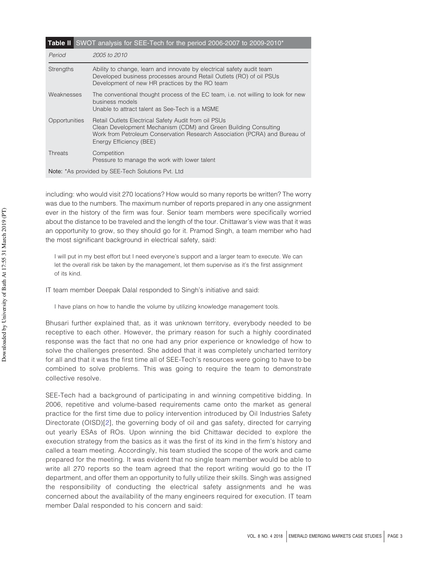| Table II                                          | SWOT analysis for SEE-Tech for the period 2006-2007 to 2009-2010*                                                                                                                                                                |
|---------------------------------------------------|----------------------------------------------------------------------------------------------------------------------------------------------------------------------------------------------------------------------------------|
| Period                                            | 2005 to 2010                                                                                                                                                                                                                     |
| <b>Strengths</b>                                  | Ability to change, learn and innovate by electrical safety audit team<br>Developed business processes around Retail Outlets (RO) of oil PSUs<br>Development of new HR practices by the RO team                                   |
| Weaknesses                                        | The conventional thought process of the EC team, i.e. not willing to look for new<br>business models<br>Unable to attract talent as See-Tech is a MSME                                                                           |
| Opportunities                                     | Retail Outlets Electrical Safety Audit from oil PSUs<br>Clean Development Mechanism (CDM) and Green Building Consulting<br>Work from Petroleum Conservation Research Association (PCRA) and Bureau of<br>Energy Efficiency (BEE) |
| <b>Threats</b>                                    | Competition<br>Pressure to manage the work with lower talent                                                                                                                                                                     |
| Note: *As provided by SEE-Tech Solutions Pvt. Ltd |                                                                                                                                                                                                                                  |

including: who would visit 270 locations? How would so many reports be written? The worry was due to the numbers. The maximum number of reports prepared in any one assignment ever in the history of the firm was four. Senior team members were specifically worried about the distance to be traveled and the length of the tour. Chittawar's view was that it was an opportunity to grow, so they should go for it. Pramod Singh, a team member who had the most significant background in electrical safety, said:

I will put in my best effort but I need everyone's support and a larger team to execute. We can let the overall risk be taken by the management, let them supervise as it's the first assignment of its kind.

IT team member Deepak Dalal responded to Singh's initiative and said:

I have plans on how to handle the volume by utilizing knowledge management tools.

Bhusari further explained that, as it was unknown territory, everybody needed to be receptive to each other. However, the primary reason for such a highly coordinated response was the fact that no one had any prior experience or knowledge of how to solve the challenges presented. She added that it was completely uncharted territory for all and that it was the first time all of SEE-Tech's resources were going to have to be combined to solve problems. This was going to require the team to demonstrate collective resolve.

SEE-Tech had a background of participating in and winning competitive bidding. In 2006, repetitive and volume-based requirements came onto the market as general practice for the first time due to policy intervention introduced by Oil Industries Safety Directorate (OISD)[2], the governing body of oil and gas safety, directed for carrying out yearly ESAs of ROs. Upon winning the bid Chittawar decided to explore the execution strategy from the basics as it was the first of its kind in the firm's history and called a team meeting. Accordingly, his team studied the scope of the work and came prepared for the meeting. It was evident that no single team member would be able to write all 270 reports so the team agreed that the report writing would go to the IT department, and offer them an opportunity to fully utilize their skills. Singh was assigned the responsibility of conducting the electrical safety assignments and he was concerned about the availability of the many engineers required for execution. IT team member Dalal responded to his concern and said: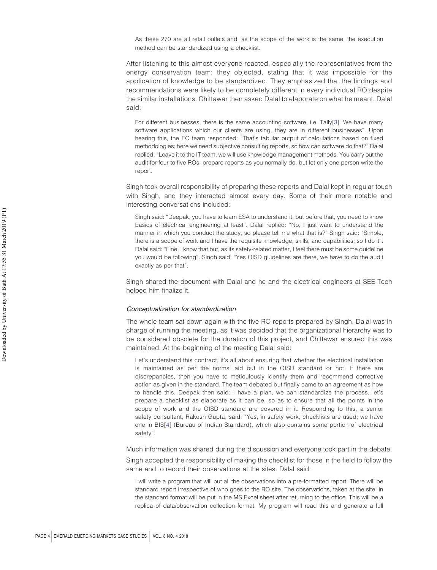As these 270 are all retail outlets and, as the scope of the work is the same, the execution method can be standardized using a checklist.

After listening to this almost everyone reacted, especially the representatives from the energy conservation team; they objected, stating that it was impossible for the application of knowledge to be standardized. They emphasized that the findings and recommendations were likely to be completely different in every individual RO despite the similar installations. Chittawar then asked Dalal to elaborate on what he meant. Dalal said:

For different businesses, there is the same accounting software, i.e. Tally[3]. We have many software applications which our clients are using, they are in different businesses". Upon hearing this, the EC team responded: "That's tabular output of calculations based on fixed methodologies; here we need subjective consulting reports, so how can software do that?" Dalal replied: "Leave it to the IT team, we will use knowledge management methods. You carry out the audit for four to five ROs, prepare reports as you normally do, but let only one person write the report.

Singh took overall responsibility of preparing these reports and Dalal kept in regular touch with Singh, and they interacted almost every day. Some of their more notable and interesting conversations included:

Singh said: "Deepak, you have to learn ESA to understand it, but before that, you need to know basics of electrical engineering at least". Dalal replied: "No, I just want to understand the manner in which you conduct the study, so please tell me what that is?" Singh said: "Simple, there is a scope of work and I have the requisite knowledge, skills, and capabilities; so I do it". Dalal said: "Fine, I know that but, as its safety-related matter, I feel there must be some guideline you would be following". Singh said: "Yes OISD guidelines are there, we have to do the audit exactly as per that".

Singh shared the document with Dalal and he and the electrical engineers at SEE-Tech helped him finalize it.

#### Conceptualization for standardization

The whole team sat down again with the five RO reports prepared by Singh. Dalal was in charge of running the meeting, as it was decided that the organizational hierarchy was to be considered obsolete for the duration of this project, and Chittawar ensured this was maintained. At the beginning of the meeting Dalal said:

Let's understand this contract, it's all about ensuring that whether the electrical installation is maintained as per the norms laid out in the OISD standard or not. If there are discrepancies, then you have to meticulously identify them and recommend corrective action as given in the standard. The team debated but finally came to an agreement as how to handle this. Deepak then said: I have a plan, we can standardize the process, let's prepare a checklist as elaborate as it can be, so as to ensure that all the points in the scope of work and the OISD standard are covered in it. Responding to this, a senior safety consultant, Rakesh Gupta, said: "Yes, in safety work, checklists are used; we have one in BIS[4] (Bureau of Indian Standard), which also contains some portion of electrical safety".

Much information was shared during the discussion and everyone took part in the debate. Singh accepted the responsibility of making the checklist for those in the field to follow the same and to record their observations at the sites. Dalal said:

I will write a program that will put all the observations into a pre-formatted report. There will be standard report irrespective of who goes to the RO site. The observations, taken at the site, in the standard format will be put in the MS Excel sheet after returning to the office. This will be a replica of data/observation collection format. My program will read this and generate a full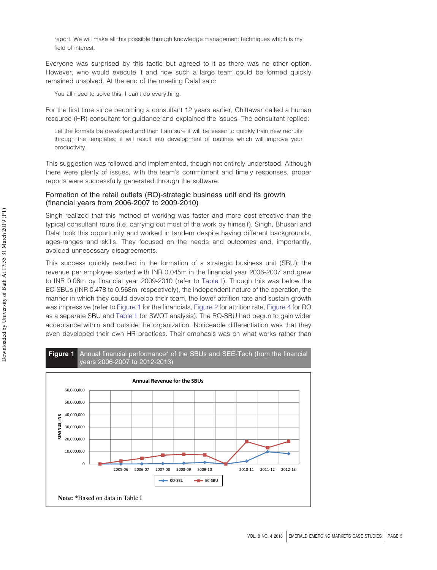report. We will make all this possible through knowledge management techniques which is my field of interest.

Everyone was surprised by this tactic but agreed to it as there was no other option. However, who would execute it and how such a large team could be formed quickly remained unsolved. At the end of the meeting Dalal said:

You all need to solve this, I can't do everything.

For the first time since becoming a consultant 12 years earlier, Chittawar called a human resource (HR) consultant for guidance and explained the issues. The consultant replied:

Let the formats be developed and then I am sure it will be easier to quickly train new recruits through the templates; it will result into development of routines which will improve your productivity.

This suggestion was followed and implemented, though not entirely understood. Although there were plenty of issues, with the team's commitment and timely responses, proper reports were successfully generated through the software.

#### Formation of the retail outlets (RO)-strategic business unit and its growth (financial years from 2006-2007 to 2009-2010)

Singh realized that this method of working was faster and more cost-effective than the typical consultant route (i.e. carrying out most of the work by himself). Singh, Bhusari and Dalal took this opportunity and worked in tandem despite having different backgrounds, ages-ranges and skills. They focused on the needs and outcomes and, importantly, avoided unnecessary disagreements.

This success quickly resulted in the formation of a strategic business unit (SBU); the revenue per employee started with INR 0.045m in the financial year 2006-2007 and grew to INR 0.08m by financial year 2009-2010 (refer to Table I). Though this was below the EC-SBUs (INR 0.478 to 0.568m, respectively), the independent nature of the operation, the manner in which they could develop their team, the lower attrition rate and sustain growth was impressive (refer to Figure 1 for the financials, Figure 2 for attrition rate, Figure 4 for RO as a separate SBU and Table II for SWOT analysis). The RO-SBU had begun to gain wider acceptance within and outside the organization. Noticeable differentiation was that they even developed their own HR practices. Their emphasis was on what works rather than

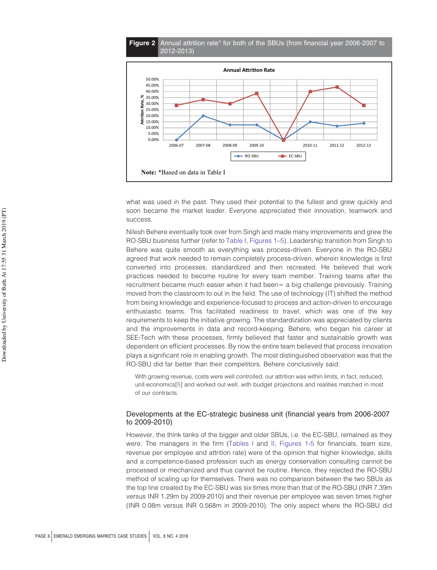

what was used in the past. They used their potential to the fullest and grew quickly and soon became the market leader. Everyone appreciated their innovation, teamwork and success.

Nilesh Behere eventually took over from Singh and made many improvements and grew the RO-SBU business further (refer to Table I, Figures 1–5). Leadership transition from Singh to Behere was quite smooth as everything was process-driven. Everyone in the RO-SBU agreed that work needed to remain completely process-driven, wherein knowledge is first converted into processes, standardized and then recreated. He believed that work practices needed to become routine for every team member. Training teams after the recruitment became much easier when it had been= a big challenge previously. Training moved from the classroom to out in the field. The use of technology (IT) shifted the method from being knowledge and experience-focused to process and action-driven to encourage enthusiastic teams. This facilitated readiness to travel, which was one of the key requirements to keep the initiative growing. The standardization was appreciated by clients and the improvements in data and record-keeping. Behere, who began his career at SEE-Tech with these processes, firmly believed that faster and sustainable growth was dependent on efficient processes. By now the entire team believed that process innovation plays a significant role in enabling growth. The most distinguished observation was that the RO-SBU did far better than their competitors. Behere conclusively said:

With growing revenue, costs were well controlled, our attrition was within limits, in fact, reduced, unit-economics[5] and worked out well, with budget projections and realities matched in most of our contracts.

#### Developments at the EC-strategic business unit (financial years from 2006-2007 to 2009-2010)

However, the think tanks of the bigger and older SBUs, i.e. the EC-SBU, remained as they were. The managers in the firm (Tables I and II, Figures 1-5 for financials, team size, revenue per employee and attrition rate) were of the opinion that higher knowledge, skills and a competence-based profession such as energy conservation consulting cannot be processed or mechanized and thus cannot be routine. Hence, they rejected the RO-SBU method of scaling up for themselves. There was no comparison between the two SBUs as the top line created by the EC-SBU was six times more than that of the RO-SBU (INR 7.39m versus INR 1.29m by 2009-2010) and their revenue per employee was seven times higher (INR 0.08m versus INR 0.568m in 2009-2010). The only aspect where the RO-SBU did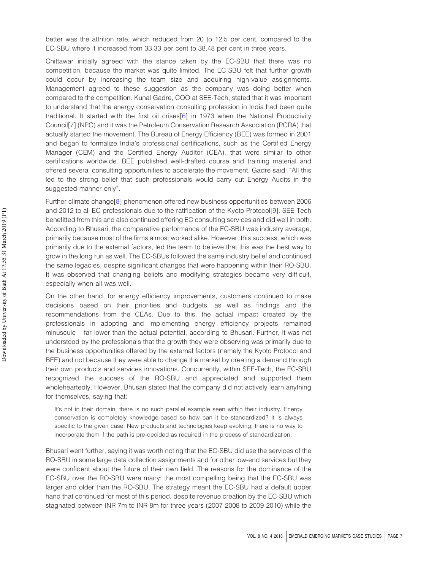better was the attrition rate, which reduced from 20 to 12.5 per cent, compared to the EC-SBU where it increased from 33.33 per cent to 38.48 per cent in three years.

Chittawar initially agreed with the stance taken by the EC-SBU that there was no competition, because the market was quite limited. The EC-SBU felt that further growth could occur by increasing the team size and acquiring high-value assignments. Management agreed to these suggestion as the company was doing better when compared to the competition. Kunal Gadre, COO at SEE-Tech, stated that it was important to understand that the energy conservation consulting profession in India had been quite traditional. It started with the first oil crises[6] in 1973 when the National Productivity Council[7] (NPC) and it was the Petroleum Conservation Research Association (PCRA) that actually started the movement. The Bureau of Energy Efficiency (BEE) was formed in 2001 and began to formalize India's professional certifications, such as the Certified Energy Manager (CEM) and the Certified Energy Auditor (CEA), that were similar to other certifications worldwide. BEE published well-drafted course and training material and offered several consulting opportunities to accelerate the movement. Gadre said: "All this led to the strong belief that such professionals would carry out Energy Audits in the suggested manner only".

Further climate change[8] phenomenon offered new business opportunities between 2006 and 2012 to all EC professionals due to the ratification of the Kyoto Protocol[9]. SEE-Tech benefitted from this and also continued offering EC consulting services and did well in both. According to Bhusari, the comparative performance of the EC-SBU was industry average, primarily because most of the firms almost worked alike. However, this success, which was primarily due to the external factors, led the team to believe that this was the best way to grow in the long run as well. The EC-SBUs followed the same industry belief and continued the same legacies, despite significant changes that were happening within their RO-SBU. It was observed that changing beliefs and modifying strategies became very difficult, especially when all was well.

On the other hand, for energy efficiency improvements, customers continued to make decisions based on their priorities and budgets, as well as findings and the recommendations from the CEAs. Due to this, the actual impact created by the professionals in adopting and implementing energy efficiency projects remained minuscule – far lower than the actual potential, according to Bhusari. Further, it was not understood by the professionals that the growth they were observing was primarily due to the business opportunities offered by the external factors (namely the Kyoto Protocol and BEE) and not because they were able to change the market by creating a demand through their own products and services innovations. Concurrently, within SEE-Tech, the EC-SBU recognized the success of the RO-SBU and appreciated and supported them wholeheartedly. However, Bhusari stated that the company did not actively learn anything for themselves, saying that:

It's not in their domain, there is no such parallel example seen within their industry. Energy conservation is completely knowledge-based so how can it be standardized? It is always specific to the given case. New products and technologies keep evolving; there is no way to incorporate them if the path is pre-decided as required in the process of standardization.

Bhusari went further, saying it was worth noting that the EC-SBU did use the services of the RO-SBU in some large data collection assignments and for other low-end services but they were confident about the future of their own field. The reasons for the dominance of the EC-SBU over the RO-SBU were many; the most compelling being that the EC-SBU was larger and older than the RO-SBU. The strategy meant the EC-SBU had a default upper hand that continued for most of this period, despite revenue creation by the EC-SBU which stagnated between INR 7m to INR 8m for three years (2007-2008 to 2009-2010) while the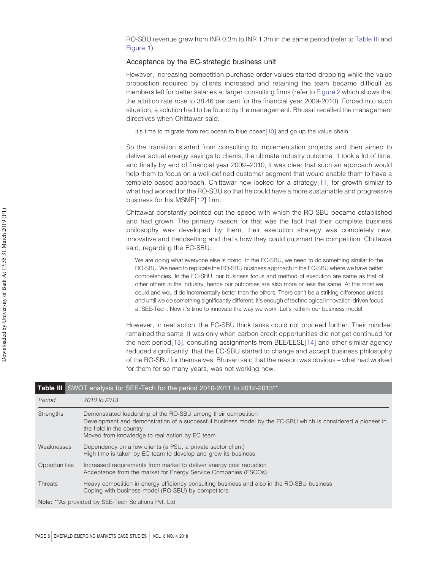RO-SBU revenue grew from INR 0.3m to INR 1.3m in the same period (refer to Table III and Figure 1).

#### Acceptance by the EC-strategic business unit

However, increasing competition purchase order values started dropping while the value proposition required by clients increased and retaining the team became difficult as members left for better salaries at larger consulting firms (refer to Figure 2 which shows that the attrition rate rose to 38.46 per cent for the financial year 2009-2010). Forced into such situation, a solution had to be found by the management. Bhusari recalled the management directives when Chittawar said:

It's time to migrate from red ocean to blue ocean[10] and go up the value chain.

So the transition started from consulting to implementation projects and then aimed to deliver actual energy savings to clients, the ultimate industry outcome. It took a lot of time, and finally by end of financial year 2009–2010, it was clear that such an approach would help them to focus on a well-defined customer segment that would enable them to have a template-based approach. Chittawar now looked for a strategy[11] for growth similar to what had worked for the RO-SBU so that he could have a more sustainable and progressive business for his MSME[12] firm.

Chittawar constantly pointed out the speed with which the RO-SBU became established and had grown. The primary reason for that was the fact that their complete business philosophy was developed by them, their execution strategy was completely new, innovative and trendsetting and that's how they could outsmart the competition. Chittawar said, regarding the EC-SBU:

We are doing what everyone else is doing. In the EC-SBU, we need to do something similar to the RO-SBU. We need to replicate the RO-SBU business approach in the EC-SBU where we have better competencies. In the EC-SBU, our business focus and method of execution are same as that of other others in the industry, hence our outcomes are also more or less the same. At the most we could and would do incrementally better than the others. There can't be a striking difference unless and until we do something significantly different. It's enough of technological innovation-driven focus at SEE-Tech. Now it's time to innovate the way we work. Let's rethink our business model.

However, in real action, the EC-SBU think tanks could not proceed further. Their mindset remained the same. It was only when carbon credit opportunities did not get continued for the next period[13], consulting assignments from BEE/EESL[14] and other similar agency reduced significantly, that the EC-SBU started to change and accept business philosophy of the RO-SBU for themselves. Bhusari said that the reason was obvious – what had worked for them for so many years, was not working now.

|                  | Table III SWOT analysis for SEE-Tech for the period 2010-2011 to 2012-2013**                                                                                                                                                                               |
|------------------|------------------------------------------------------------------------------------------------------------------------------------------------------------------------------------------------------------------------------------------------------------|
| Period           | 2010 to 2013                                                                                                                                                                                                                                               |
| <b>Strengths</b> | Demonstrated leadership of the RO-SBU among their competition<br>Development and demonstration of a successful business model by the EC-SBU which is considered a pioneer in<br>the field in the country<br>Moved from knowledge to real action by EC team |
| Weaknesses       | Dependency on a few clients (a PSU, a private sector client)<br>High time is taken by EC team to develop and grow its business                                                                                                                             |
| Opportunities    | Increased requirements from market to deliver energy cost reduction<br>Acceptance from the market for Energy Service Companies (ESCOs)                                                                                                                     |
| <b>Threats</b>   | Heavy competition in energy efficiency consulting business and also in the RO-SBU business<br>Coping with business model (RO-SBU) by competitors                                                                                                           |
|                  | Note: ** As provided by SEE-Tech Solutions Pvt. Ltd                                                                                                                                                                                                        |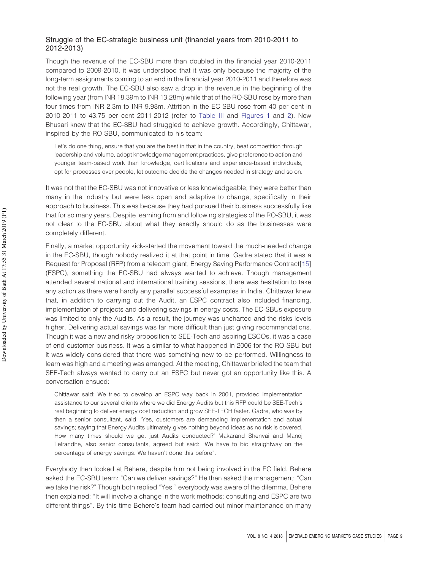#### Struggle of the EC-strategic business unit (financial years from 2010-2011 to 2012-2013)

Though the revenue of the EC-SBU more than doubled in the financial year 2010-2011 compared to 2009-2010, it was understood that it was only because the majority of the long-term assignments coming to an end in the financial year 2010-2011 and therefore was not the real growth. The EC-SBU also saw a drop in the revenue in the beginning of the following year (from INR 18.39m to INR 13.28m) while that of the RO-SBU rose by more than four times from INR 2.3m to INR 9.98m. Attrition in the EC-SBU rose from 40 per cent in 2010-2011 to 43.75 per cent 2011-2012 (refer to Table III and Figures 1 and 2). Now Bhusari knew that the EC-SBU had struggled to achieve growth. Accordingly, Chittawar, inspired by the RO-SBU, communicated to his team:

Let's do one thing, ensure that you are the best in that in the country, beat competition through leadership and volume, adopt knowledge management practices, give preference to action and younger team-based work than knowledge, certifications and experience-based individuals, opt for processes over people, let outcome decide the changes needed in strategy and so on.

It was not that the EC-SBU was not innovative or less knowledgeable; they were better than many in the industry but were less open and adaptive to change, specifically in their approach to business. This was because they had pursued their business successfully like that for so many years. Despite learning from and following strategies of the RO-SBU, it was not clear to the EC-SBU about what they exactly should do as the businesses were completely different.

Finally, a market opportunity kick-started the movement toward the much-needed change in the EC-SBU, though nobody realized it at that point in time. Gadre stated that it was a Request for Proposal (RFP) from a telecom giant, Energy Saving Performance Contract[15] (ESPC), something the EC-SBU had always wanted to achieve. Though management attended several national and international training sessions, there was hesitation to take any action as there were hardly any parallel successful examples in India. Chittawar knew that, in addition to carrying out the Audit, an ESPC contract also included financing, implementation of projects and delivering savings in energy costs. The EC-SBUs exposure was limited to only the Audits. As a result, the journey was uncharted and the risks levels higher. Delivering actual savings was far more difficult than just giving recommendations. Though it was a new and risky proposition to SEE-Tech and aspiring ESCOs, it was a case of end-customer business. It was a similar to what happened in 2006 for the RO-SBU but it was widely considered that there was something new to be performed. Willingness to learn was high and a meeting was arranged. At the meeting, Chittawar briefed the team that SEE-Tech always wanted to carry out an ESPC but never got an opportunity like this. A conversation ensued:

Chittawar said: We tried to develop an ESPC way back in 2001, provided implementation assistance to our several clients where we did Energy Audits but this RFP could be SEE-Tech's real beginning to deliver energy cost reduction and grow SEE-TECH faster. Gadre, who was by then a senior consultant, said: 'Yes, customers are demanding implementation and actual savings; saying that Energy Audits ultimately gives nothing beyond ideas as no risk is covered. How many times should we get just Audits conducted?' Makarand Shenvai and Manoj Telrandhe, also senior consultants, agreed but said: "We have to bid straightway on the percentage of energy savings. We haven't done this before".

Everybody then looked at Behere, despite him not being involved in the EC field. Behere asked the EC-SBU team: "Can we deliver savings?" He then asked the management: "Can we take the risk?" Though both replied "Yes," everybody was aware of the dilemma. Behere then explained: "It will involve a change in the work methods; consulting and ESPC are two different things". By this time Behere's team had carried out minor maintenance on many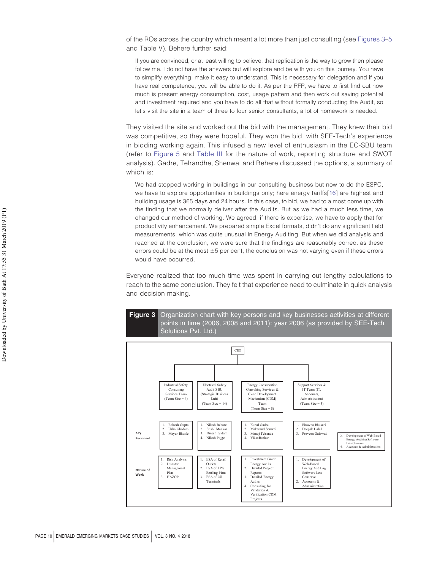of the ROs across the country which meant a lot more than just consulting (see Figures 3–5 and Table V). Behere further said:

If you are convinced, or at least willing to believe, that replication is the way to grow then please follow me. I do not have the answers but will explore and be with you on this journey. You have to simplify everything, make it easy to understand. This is necessary for delegation and if you have real competence, you will be able to do it. As per the RFP, we have to first find out how much is present energy consumption, cost, usage pattern and then work out saving potential and investment required and you have to do all that without formally conducting the Audit, so let's visit the site in a team of three to four senior consultants, a lot of homework is needed.

They visited the site and worked out the bid with the management. They knew their bid was competitive, so they were hopeful. They won the bid, with SEE-Tech's experience in bidding working again. This infused a new level of enthusiasm in the EC-SBU team (refer to Figure 5 and Table III for the nature of work, reporting structure and SWOT analysis). Gadre, Telrandhe, Shenwai and Behere discussed the options, a summary of which is:

We had stopped working in buildings in our consulting business but now to do the ESPC, we have to explore opportunities in buildings only; here energy tariffs[16] are highest and building usage is 365 days and 24 hours. In this case, to bid, we had to almost come up with the finding that we normally deliver after the Audits. But as we had a much less time, we changed our method of working. We agreed, if there is expertise, we have to apply that for productivity enhancement. We prepared simple Excel formats, didn't do any significant field measurements, which was quite unusual in Energy Auditing. But when we did analysis and reached at the conclusion, we were sure that the findings are reasonably correct as these errors could be at the most  $\pm 5$  per cent, the conclusion was not varying even if these errors would have occurred.

Everyone realized that too much time was spent in carrying out lengthy calculations to reach to the same conclusion. They felt that experience need to culminate in quick analysis and decision-making.

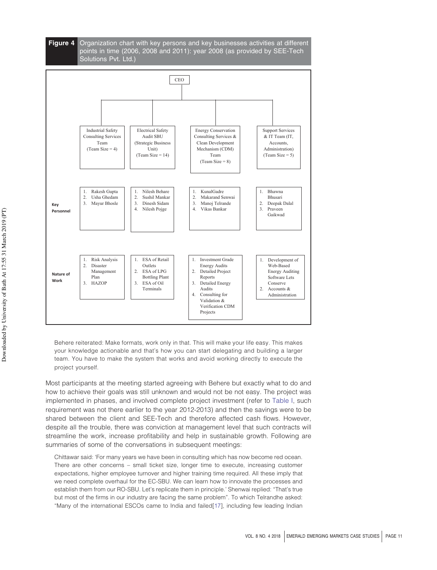

Behere reiterated: Make formats, work only in that. This will make your life easy. This makes your knowledge actionable and that's how you can start delegating and building a larger team. You have to make the system that works and avoid working directly to execute the project yourself.

Most participants at the meeting started agreeing with Behere but exactly what to do and how to achieve their goals was still unknown and would not be not easy. The project was implemented in phases, and involved complete project investment (refer to Table I, such requirement was not there earlier to the year 2012-2013) and then the savings were to be shared between the client and SEE-Tech and therefore affected cash flows. However, despite all the trouble, there was conviction at management level that such contracts will streamline the work, increase profitability and help in sustainable growth. Following are summaries of some of the conversations in subsequent meetings:

Chittawar said: 'For many years we have been in consulting which has now become red ocean. There are other concerns – small ticket size, longer time to execute, increasing customer expectations, higher employee turnover and higher training time required. All these imply that we need complete overhaul for the EC-SBU. We can learn how to innovate the processes and establish them from our RO-SBU. Let's replicate them in principle.' Shenwai replied: "That's true but most of the firms in our industry are facing the same problem". To which Telrandhe asked: "Many of the international ESCOs came to India and failed[17], including few leading Indian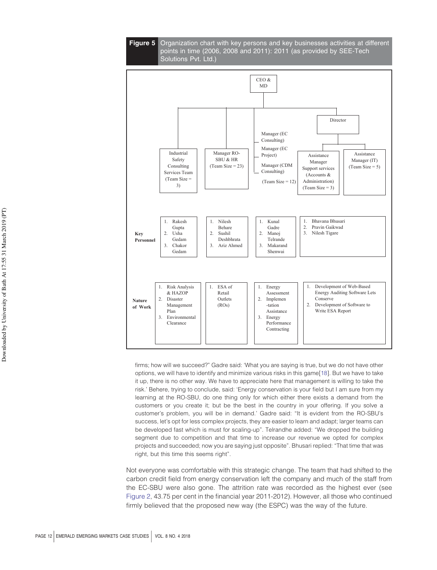

firms; how will we succeed?" Gadre said: 'What you are saying is true, but we do not have other options, we will have to identify and minimize various risks in this game[18]. But we have to take it up, there is no other way. We have to appreciate here that management is willing to take the risk.' Behere, trying to conclude, said: 'Energy conservation is your field but I am sure from my learning at the RO-SBU, do one thing only for which either there exists a demand from the customers or you create it; but be the best in the country in your offering. If you solve a customer's problem, you will be in demand.' Gadre said: "It is evident from the RO-SBU's success, let's opt for less complex projects, they are easier to learn and adapt; larger teams can be developed fast which is must for scaling-up". Telrandhe added: "We dropped the building segment due to competition and that time to increase our revenue we opted for complex projects and succeeded; now you are saying just opposite". Bhusari replied: "That time that was right, but this time this seems right".

Not everyone was comfortable with this strategic change. The team that had shifted to the carbon credit field from energy conservation left the company and much of the staff from the EC-SBU were also gone. The attrition rate was recorded as the highest ever (see Figure 2, 43.75 per cent in the financial year 2011-2012). However, all those who continued firmly believed that the proposed new way (the ESPC) was the way of the future.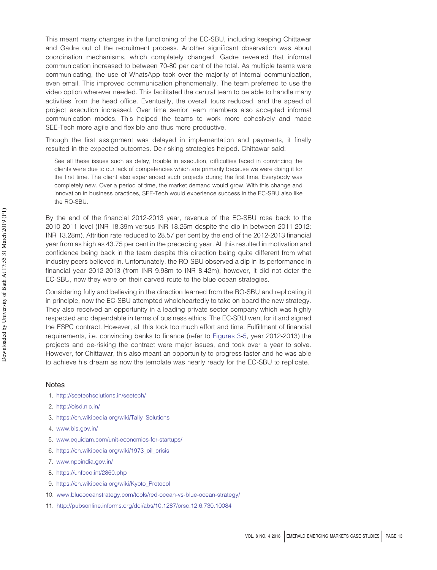This meant many changes in the functioning of the EC-SBU, including keeping Chittawar and Gadre out of the recruitment process. Another significant observation was about coordination mechanisms, which completely changed. Gadre revealed that informal communication increased to between 70-80 per cent of the total. As multiple teams were communicating, the use of WhatsApp took over the majority of internal communication, even email. This improved communication phenomenally. The team preferred to use the video option wherever needed. This facilitated the central team to be able to handle many activities from the head office. Eventually, the overall tours reduced, and the speed of project execution increased. Over time senior team members also accepted informal communication modes. This helped the teams to work more cohesively and made SEE-Tech more agile and flexible and thus more productive.

Though the first assignment was delayed in implementation and payments, it finally resulted in the expected outcomes. De-risking strategies helped. Chittawar said:

See all these issues such as delay, trouble in execution, difficulties faced in convincing the clients were due to our lack of competencies which are primarily because we were doing it for the first time. The client also experienced such projects during the first time. Everybody was completely new. Over a period of time, the market demand would grow. With this change and innovation in business practices, SEE-Tech would experience success in the EC-SBU also like the RO-SBU.

By the end of the financial 2012-2013 year, revenue of the EC-SBU rose back to the 2010-2011 level (INR 18.39m versus INR 18.25m despite the dip in between 2011-2012: INR 13.28m). Attrition rate reduced to 28.57 per cent by the end of the 2012-2013 financial year from as high as 43.75 per cent in the preceding year. All this resulted in motivation and confidence being back in the team despite this direction being quite different from what industry peers believed in. Unfortunately, the RO-SBU observed a dip in its performance in financial year 2012-2013 (from INR 9.98m to INR 8.42m); however, it did not deter the EC-SBU, now they were on their carved route to the blue ocean strategies.

Considering fully and believing in the direction learned from the RO-SBU and replicating it in principle, now the EC-SBU attempted wholeheartedly to take on board the new strategy. They also received an opportunity in a leading private sector company which was highly respected and dependable in terms of business ethics. The EC-SBU went for it and signed the ESPC contract. However, all this took too much effort and time. Fulfillment of financial requirements, i.e. convincing banks to finance (refer to Figures 3-5, year 2012-2013) the projects and de-risking the contract were major issues, and took over a year to solve. However, for Chittawar, this also meant an opportunity to progress faster and he was able to achieve his dream as now the template was nearly ready for the EC-SBU to replicate.

#### **Notes**

- 1. <http://seetechsolutions.in/seetech/>
- 2. <http://oisd.nic.in/>
- 3. [https://en.wikipedia.org/wiki/Tally\\_Solutions](https://en.wikipedia.org/wiki/Tally_Solutions)
- 4. [www.bis.gov.in/](http://www.bis.gov.in/)
- 5. [www.equidam.com/unit-economics-for-startups/](http://www.equidam.com/unit-economics-for-startups/)
- 6. [https://en.wikipedia.org/wiki/1973\\_oil\\_crisis](https://en.wikipedia.org/wiki/1973_oil_crisis)
- 7. [www.npcindia.gov.in/](http://www.npcindia.gov.in/)
- 8. <https://unfccc.int/2860.php>
- 9. [https://en.wikipedia.org/wiki/Kyoto\\_Protocol](https://en.wikipedia.org/wiki/Kyoto_Protocol)
- 10. [www.blueoceanstrategy.com/tools/red-ocean-vs-blue-ocean-strategy/](http://www.blueoceanstrategy.com/tools/red-ocean-vs-blue-ocean-strategy/)
- 11. <http://pubsonline.informs.org/doi/abs/10.1287/orsc.12.6.730.10084>